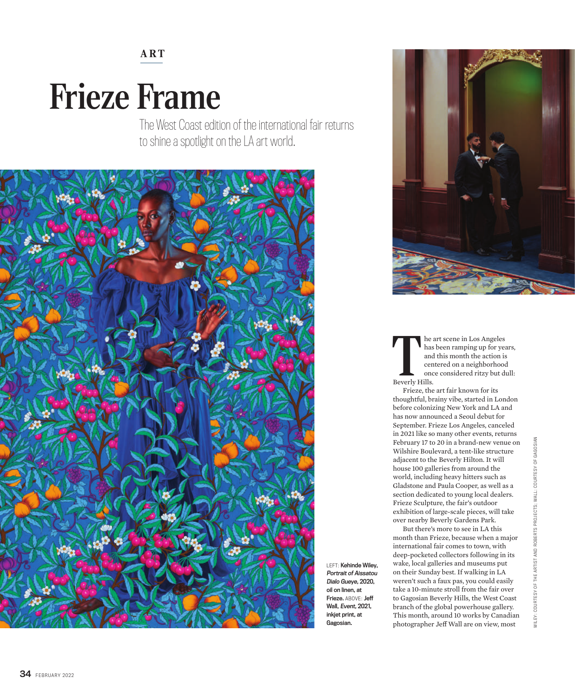## **ART**

## Frieze Frame

The West Coast edition of the international fair returns to shine a spotlight on the LA art world.



LEFT: Kehinde Wiley, Portrait of Aissatou Dialo Gueye, 2020, oil on linen, at Frieze. ABOVE: Jeff Wall, Event, 2021, inkjet print, at Gagosian.



The and the sand centre of the same of the same of the same stress of the same stress of the same stress section  $\mathbf{B}$ he art scene in Los Angeles has been ramping up for years, and this month the action is centered on a neighborhood once considered ritzy but dull:

Frieze, the art fair known for its thoughtful, brainy vibe, started in London before colonizing New York and LA and has now announced a Seoul debut for September. Frieze Los Angeles, canceled in 2021 like so many other events, returns February 17 to 20 in a brand-new venue on Wilshire Boulevard, a tent-like structure adjacent to the Beverly Hilton. It will house 100 galleries from around the world, including heavy hitters such as Gladstone and Paula Cooper, as well as a section dedicated to young local dealers. Frieze Sculpture, the fair's outdoor exhibition of large-scale pieces, will take over nearby Beverly Gardens Park.

But there's more to see in LA this month than Frieze, because when a major international fair comes to town, with deep-pocketed collectors following in its wake, local galleries and museums put on their Sunday best. If walking in LA weren't such a faux pas, you could easily take a 10-minute stroll from the fair over to Gagosian Beverly Hills, the West Coast branch of the global powerhouse gallery. This month, around 10 works by Canadian photographer Jeff Wall are on view, most